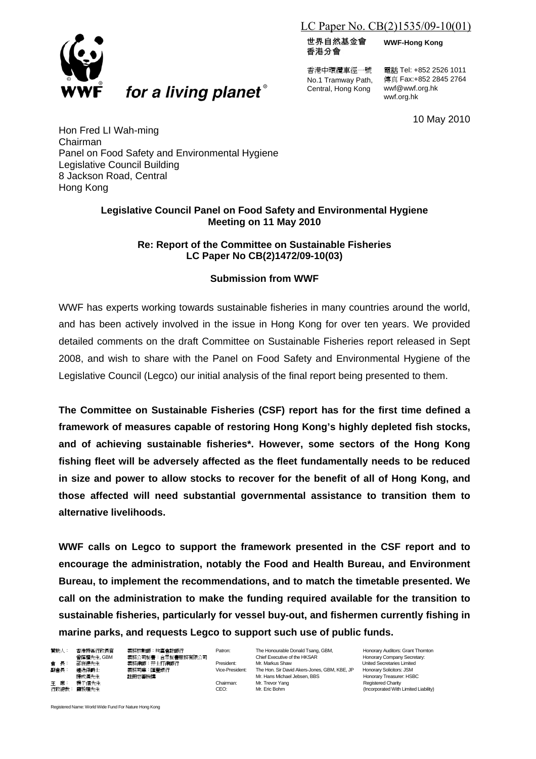# LC Paper No. CB(2)1535/09-10(01)

世界自然基金會 香港分會

香港中環纜車徑一號 No.1 Tramway Path, Central, Hong Kong

電話 Tel: +852 2526 1011 傳真 Fax:+852 2845 2764 wwf@wwf.org.hk wwf.org.hk

**WWF-Hong Kong**

10 May 2010

Hon Fred LI Wah-ming Chairman Panel on Food Safety and Environmental Hygiene Legislative Council Building 8 Jackson Road, Central Hong Kong

## **Legislative Council Panel on Food Safety and Environmental Hygiene Meeting on 11 May 2010**

# **Re: Report of the Committee on Sustainable Fisheries LC Paper No CB(2)1472/09-10(03)**

# **Submission from WWF**

WWF has experts working towards sustainable fisheries in many countries around the world, and has been actively involved in the issue in Hong Kong for over ten years. We provided detailed comments on the draft Committee on Sustainable Fisheries report released in Sept 2008, and wish to share with the Panel on Food Safety and Environmental Hygiene of the Legislative Council (Legco) our initial analysis of the final report being presented to them.

**The Committee on Sustainable Fisheries (CSF) report has for the first time defined a framework of measures capable of restoring Hong Kong's highly depleted fish stocks, and of achieving sustainable fisheries\*. However, some sectors of the Hong Kong fishing fleet will be adversely affected as the fleet fundamentally needs to be reduced in size and power to allow stocks to recover for the benefit of all of Hong Kong, and those affected will need substantial governmental assistance to transition them to alternative livelihoods.** 

**WWF calls on Legco to support the framework presented in the CSF report and to encourage the administration, notably the Food and Health Bureau, and Environment Bureau, to implement the recommendations, and to match the timetable presented. We call on the administration to make the funding required available for the transition to sustainable fisheries, particularly for vessel buy-out, and fishermen currently fishing in marine parks, and requests Legco to support such use of public funds.** 

贊助人: 香港特區行政長官 義務核數師:均富會計師行 Patron: The Honourable Donald Tsang, GBM, Honorary Auditors: Grant Thornton<br>- 曾蔭權先生, GBM - 義務公司秘書:合眾秘書服務有限公司 曾蔭權先生, GBM 義務公司秘書:合眾秘書服務有限公司 Chief Executive of the HKSAR Honorary Company Secretary:<br>- 雷 長: 邵在德先生 義務律師:孖士打律師行 President: Mr. Markus Shaw United Secretaries Limited 副會長: 鍾逸傑爵士 義務司庫:匯豐銀行 Vice-President: The Hon. Sir David Akers-Jones, GBM, KBE, JP Honorary Solicitors: JSM 捷成漢先生 註冊慈善機構 Mr. Hans Michael Jebsen, BBS Honorary Treasurer: HSBC 主 席: 楊子信先生 2002年2月20日 - 2002年2月20日 - 2002年2月20日 - 2002年2月20日 - 2003年2月20日 - 2003年2月20日 - 2003年2月20日 - 2003年2月20日 - 2003年2月20日 - 2003年2月20日 - 2003年2月20日 - 2003年2月20日 - 2003年2月20日 - 2003年2月20日 - 2003年2月20日 - 2003年2月20日 - 20 CEO: Mr. Eric Bohm (Incorporated With Limited Liability)

Registered Name: World Wide Fund For Nature Hong Kong



for a living planet®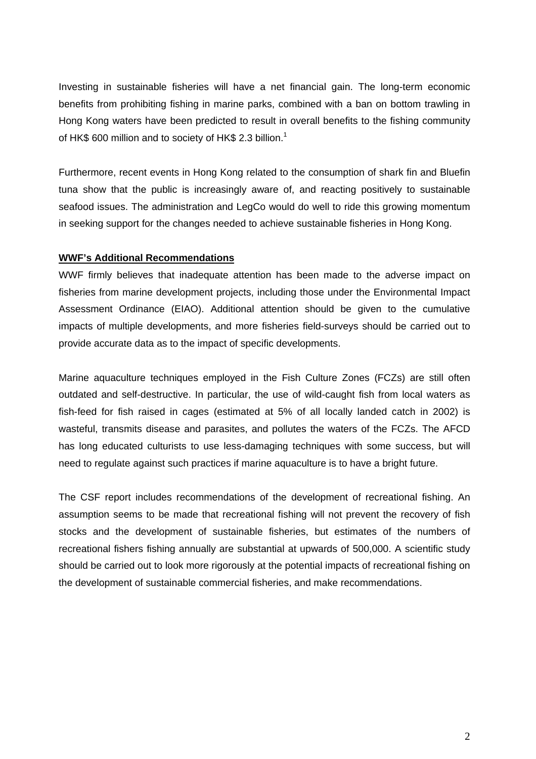Investing in sustainable fisheries will have a net financial gain. The long-term economic benefits from prohibiting fishing in marine parks, combined with a ban on bottom trawling in Hong Kong waters have been predicted to result in overall benefits to the fishing community of HK\$ 600 million and to society of HK\$ 2.3 billion.<sup>1</sup>

Furthermore, recent events in Hong Kong related to the consumption of shark fin and Bluefin tuna show that the public is increasingly aware of, and reacting positively to sustainable seafood issues. The administration and LegCo would do well to ride this growing momentum in seeking support for the changes needed to achieve sustainable fisheries in Hong Kong.

### **WWF's Additional Recommendations**

WWF firmly believes that inadequate attention has been made to the adverse impact on fisheries from marine development projects, including those under the Environmental Impact Assessment Ordinance (EIAO). Additional attention should be given to the cumulative impacts of multiple developments, and more fisheries field-surveys should be carried out to provide accurate data as to the impact of specific developments.

Marine aquaculture techniques employed in the Fish Culture Zones (FCZs) are still often outdated and self-destructive. In particular, the use of wild-caught fish from local waters as fish-feed for fish raised in cages (estimated at 5% of all locally landed catch in 2002) is wasteful, transmits disease and parasites, and pollutes the waters of the FCZs. The AFCD has long educated culturists to use less-damaging techniques with some success, but will need to regulate against such practices if marine aquaculture is to have a bright future.

The CSF report includes recommendations of the development of recreational fishing. An assumption seems to be made that recreational fishing will not prevent the recovery of fish stocks and the development of sustainable fisheries, but estimates of the numbers of recreational fishers fishing annually are substantial at upwards of 500,000. A scientific study should be carried out to look more rigorously at the potential impacts of recreational fishing on the development of sustainable commercial fisheries, and make recommendations.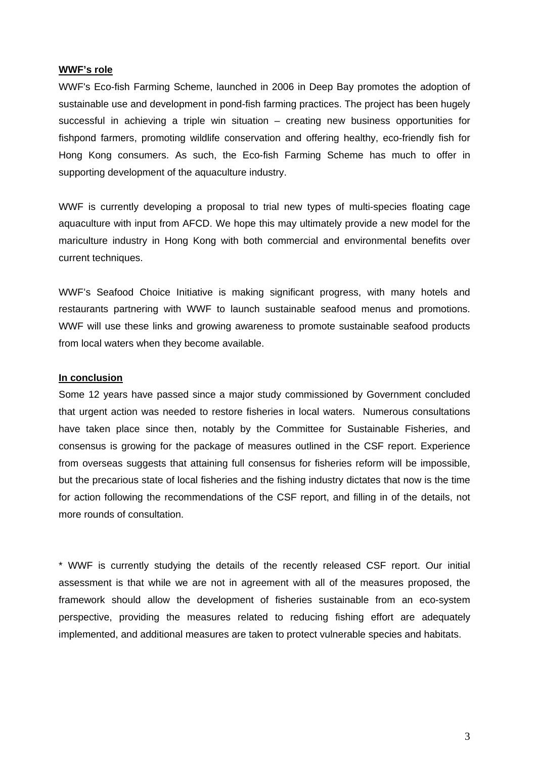### **WWF's role**

WWF's Eco-fish Farming Scheme, launched in 2006 in Deep Bay promotes the adoption of sustainable use and development in pond-fish farming practices. The project has been hugely successful in achieving a triple win situation – creating new business opportunities for fishpond farmers, promoting wildlife conservation and offering healthy, eco-friendly fish for Hong Kong consumers. As such, the Eco-fish Farming Scheme has much to offer in supporting development of the aquaculture industry.

WWF is currently developing a proposal to trial new types of multi-species floating cage aquaculture with input from AFCD. We hope this may ultimately provide a new model for the mariculture industry in Hong Kong with both commercial and environmental benefits over current techniques.

WWF's Seafood Choice Initiative is making significant progress, with many hotels and restaurants partnering with WWF to launch sustainable seafood menus and promotions. WWF will use these links and growing awareness to promote sustainable seafood products from local waters when they become available.

### **In conclusion**

Some 12 years have passed since a major study commissioned by Government concluded that urgent action was needed to restore fisheries in local waters. Numerous consultations have taken place since then, notably by the Committee for Sustainable Fisheries, and consensus is growing for the package of measures outlined in the CSF report. Experience from overseas suggests that attaining full consensus for fisheries reform will be impossible. but the precarious state of local fisheries and the fishing industry dictates that now is the time for action following the recommendations of the CSF report, and filling in of the details, not more rounds of consultation.

\* WWF is currently studying the details of the recently released CSF report. Our initial assessment is that while we are not in agreement with all of the measures proposed, the framework should allow the development of fisheries sustainable from an eco-system perspective, providing the measures related to reducing fishing effort are adequately implemented, and additional measures are taken to protect vulnerable species and habitats.